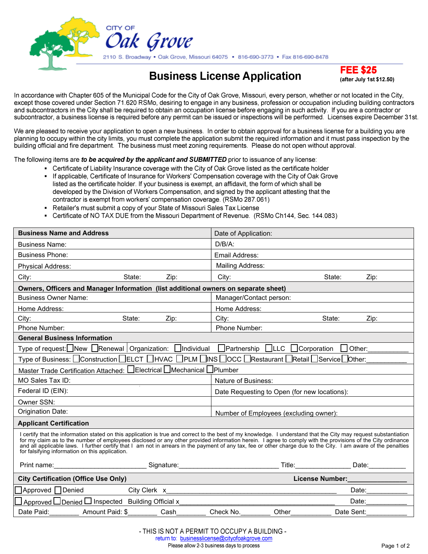

# **Business License Application FEE \$25**

**(after July 1st \$12.50)**

In accordance with Chapter 605 of the Municipal Code for the City of Oak Grove, Missouri, every person, whether or not located in the City, except those covered under Section 71.620 RSMo, desiring to engage in any business, profession or occupation including building contractors and subcontractors in the City shall be required to obtain an occupation license before engaging in such activity. If you are a contractor or subcontractor, a business license is required before any permit can be issued or inspections will be performed. Licenses expire December 31st.

We are pleased to receive your application to open a new business. In order to obtain approval for a business license for a building you are planning to occupy within the city limits, you must complete the application submit the required information and it must pass inspection by the building official and fire department. The business must meet zoning requirements. Please do not open without approval.

The following items are *to be acquired by the applicant and SUBMITTED* prior to issuance of any license:

- Certificate of Liability Insurance coverage with the City of Oak Grove listed as the certificate holder If applicable, Certificate of Insurance for Workers' Compensation coverage with the City of Oak Grove listed as the certificate holder. If your business is exempt, an affidavit, the form of which shall be developed by the Division of Workers Compensation, and signed by the applicant attesting that the contractor is exempt from workers' compensation coverage. (RSMo 287.061)
- Retailer's must submit a copy of your State of Missouri Sales Tax License
- Certificate of NO TAX DUE from the Missouri Department of Revenue. (RSMo Ch144, Sec. 144.083)

| <b>Business Name and Address</b>                                                                                                                                                                                                                                                                                                                                                                                                                                                                                                                     |        |                                        | Date of Application:                                                                                                                                                                                                           |       |            |                              |
|------------------------------------------------------------------------------------------------------------------------------------------------------------------------------------------------------------------------------------------------------------------------------------------------------------------------------------------------------------------------------------------------------------------------------------------------------------------------------------------------------------------------------------------------------|--------|----------------------------------------|--------------------------------------------------------------------------------------------------------------------------------------------------------------------------------------------------------------------------------|-------|------------|------------------------------|
| <b>Business Name:</b>                                                                                                                                                                                                                                                                                                                                                                                                                                                                                                                                |        |                                        | $D/B/A$ :                                                                                                                                                                                                                      |       |            |                              |
| <b>Business Phone:</b>                                                                                                                                                                                                                                                                                                                                                                                                                                                                                                                               |        |                                        | Email Address:                                                                                                                                                                                                                 |       |            |                              |
| <b>Physical Address:</b>                                                                                                                                                                                                                                                                                                                                                                                                                                                                                                                             |        |                                        | <b>Mailing Address:</b>                                                                                                                                                                                                        |       |            |                              |
| City:                                                                                                                                                                                                                                                                                                                                                                                                                                                                                                                                                | State: | Zip:                                   | City:                                                                                                                                                                                                                          |       | State:     | Zip:                         |
| Owners, Officers and Manager Information (list additional owners on separate sheet)                                                                                                                                                                                                                                                                                                                                                                                                                                                                  |        |                                        |                                                                                                                                                                                                                                |       |            |                              |
| <b>Business Owner Name:</b>                                                                                                                                                                                                                                                                                                                                                                                                                                                                                                                          |        |                                        | Manager/Contact person:                                                                                                                                                                                                        |       |            |                              |
| Home Address:                                                                                                                                                                                                                                                                                                                                                                                                                                                                                                                                        |        |                                        | Home Address:                                                                                                                                                                                                                  |       |            |                              |
| City:                                                                                                                                                                                                                                                                                                                                                                                                                                                                                                                                                | State: | Zip:                                   | City:                                                                                                                                                                                                                          |       | State:     | Zip:                         |
| Phone Number:                                                                                                                                                                                                                                                                                                                                                                                                                                                                                                                                        |        |                                        | Phone Number:                                                                                                                                                                                                                  |       |            |                              |
| <b>General Business Information</b>                                                                                                                                                                                                                                                                                                                                                                                                                                                                                                                  |        |                                        |                                                                                                                                                                                                                                |       |            |                              |
| Type of request: $\Box$ New $\Box$ Renewal   Organization: $\Box$ Individual $\Box$ Partnership $\Box$ LLC $\Box$ Corporation $\Box$ Other:                                                                                                                                                                                                                                                                                                                                                                                                          |        |                                        |                                                                                                                                                                                                                                |       |            |                              |
| Type of Business: □ Construction □ ELCT □ HVAC □ PLM □ INS □ OCC □ Restaurant □ Retail □ Service □ Other:                                                                                                                                                                                                                                                                                                                                                                                                                                            |        |                                        |                                                                                                                                                                                                                                |       |            |                              |
| Master Trade Certification Attached: LElectrical OMechanical OPlumber                                                                                                                                                                                                                                                                                                                                                                                                                                                                                |        |                                        |                                                                                                                                                                                                                                |       |            |                              |
| MO Sales Tax ID:                                                                                                                                                                                                                                                                                                                                                                                                                                                                                                                                     |        |                                        | Nature of Business:                                                                                                                                                                                                            |       |            |                              |
| Federal ID (EIN):                                                                                                                                                                                                                                                                                                                                                                                                                                                                                                                                    |        |                                        | Date Requesting to Open (for new locations):                                                                                                                                                                                   |       |            |                              |
| Owner SSN:                                                                                                                                                                                                                                                                                                                                                                                                                                                                                                                                           |        |                                        |                                                                                                                                                                                                                                |       |            |                              |
| Origination Date:                                                                                                                                                                                                                                                                                                                                                                                                                                                                                                                                    |        | Number of Employees (excluding owner): |                                                                                                                                                                                                                                |       |            |                              |
| <b>Applicant Certification</b>                                                                                                                                                                                                                                                                                                                                                                                                                                                                                                                       |        |                                        |                                                                                                                                                                                                                                |       |            |                              |
| I certify that the information stated on this application is true and correct to the best of my knowledge. I understand that the City may request substantiation<br>for my claim as to the number of employees disclosed or any other provided information herein. I agree to comply with the provisions of the City ordinance<br>and all applicable laws. I further certify that I am not in arrears in the payment of any tax, fee or other charge due to the City. I am aware of the penalties<br>for falsifying information on this application. |        |                                        |                                                                                                                                                                                                                                |       |            |                              |
| Print name: Signature: Signature: Signature: Signature: Signature: Signature: Signature: Signature: Signature: Signature: Signature: Signature: Signature: Signature: Signature: Signature: Signature: Signature: Signature: S                                                                                                                                                                                                                                                                                                                       |        |                                        |                                                                                                                                                                                                                                |       |            |                              |
| <b>City Certification (Office Use Only)</b>                                                                                                                                                                                                                                                                                                                                                                                                                                                                                                          |        |                                        | License Number: National Property of the Contract of the Contract of the Contract of the Contract of the Contract of the Contract of the Contract of the Contract of the Contract of the Contract of the Contract of the Contr |       |            |                              |
| $\Box$ Approved $\Box$ Denied                                                                                                                                                                                                                                                                                                                                                                                                                                                                                                                        |        |                                        |                                                                                                                                                                                                                                |       |            | Date:____________            |
| Approved <u>DDenied</u> DInspected Building Official x_                                                                                                                                                                                                                                                                                                                                                                                                                                                                                              |        |                                        |                                                                                                                                                                                                                                |       |            | Date: $\qquad \qquad \qquad$ |
| Date Paid: Amount Paid: \$                                                                                                                                                                                                                                                                                                                                                                                                                                                                                                                           |        | Cash                                   | Check No.                                                                                                                                                                                                                      | Other | Date Sent: |                              |